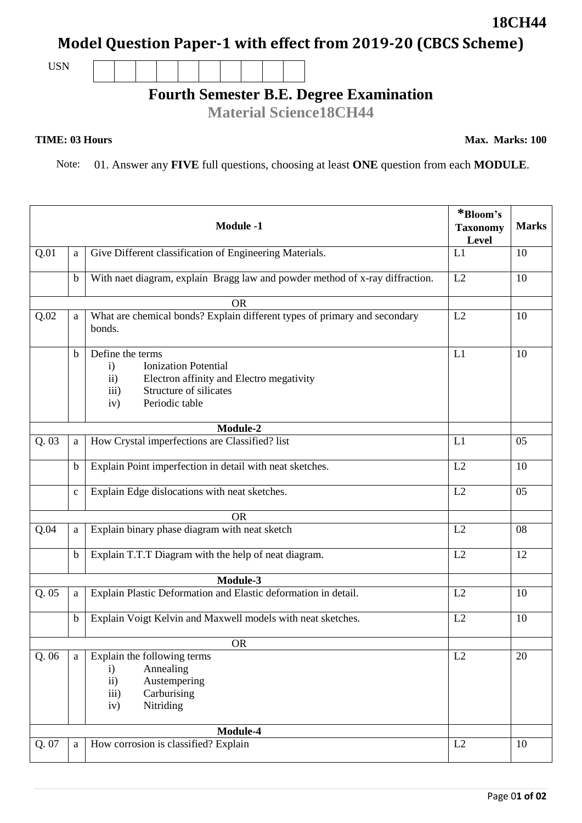## **Model Question Paper-1 with effect from 2019-20 (CBCS Scheme)**

USN

## **Fourth Semester B.E. Degree Examination**

**Material Science18CH44**

## **TIME: 03 Hours**

**Max. Marks: 100**

Note: 01. Answer any **FIVE** full questions, choosing at least **ONE** question from each **MODULE**.

|       |              | <b>Module -1</b>                                                                                                                                                                    | *Bloom's<br><b>Taxonomy</b><br>Level | <b>Marks</b> |
|-------|--------------|-------------------------------------------------------------------------------------------------------------------------------------------------------------------------------------|--------------------------------------|--------------|
| Q.01  | a            | Give Different classification of Engineering Materials.                                                                                                                             | L1                                   | 10           |
|       | $\mathbf b$  | With naet diagram, explain Bragg law and powder method of x-ray diffraction.                                                                                                        | L2                                   | 10           |
|       |              | <b>OR</b>                                                                                                                                                                           |                                      |              |
| Q.02  | a            | What are chemical bonds? Explain different types of primary and secondary<br>bonds.                                                                                                 | L2                                   | 10           |
|       | $\mathbf b$  | Define the terms<br><b>Ionization Potential</b><br>$\mathbf{i}$<br>Electron affinity and Electro megativity<br>$\rm ii)$<br>Structure of silicates<br>iii)<br>Periodic table<br>iv) | L1                                   | 10           |
|       |              | Module-2                                                                                                                                                                            |                                      |              |
| Q.03  | a            | How Crystal imperfections are Classified? list                                                                                                                                      | L1                                   | 05           |
|       | $\mathbf b$  | Explain Point imperfection in detail with neat sketches.                                                                                                                            | L2                                   | 10           |
|       | $\mathbf{C}$ | Explain Edge dislocations with neat sketches.                                                                                                                                       | L2                                   | 05           |
|       |              | <b>OR</b>                                                                                                                                                                           |                                      |              |
| Q.04  | a            | Explain binary phase diagram with neat sketch                                                                                                                                       | L2                                   | 08           |
|       | $\mathbf b$  | Explain T.T.T Diagram with the help of neat diagram.                                                                                                                                | L2                                   | 12           |
|       |              | Module-3                                                                                                                                                                            |                                      |              |
| Q. 05 | a            | Explain Plastic Deformation and Elastic deformation in detail.                                                                                                                      | L2                                   | 10           |
|       | $\mathbf b$  | Explain Voigt Kelvin and Maxwell models with neat sketches.                                                                                                                         | L2                                   | 10           |
|       |              | <b>OR</b>                                                                                                                                                                           |                                      |              |
| Q.06  | a            | Explain the following terms<br>Annealing<br>$\mathbf{i}$<br>ii)<br>Austempering<br>iii)<br>Carburising<br>Nitriding<br>iv)                                                          | L2                                   | 20           |
|       |              | Module-4                                                                                                                                                                            |                                      |              |
| Q.07  | $\mathbf{a}$ | How corrosion is classified? Explain                                                                                                                                                | L2                                   | 10           |

**18CH44**